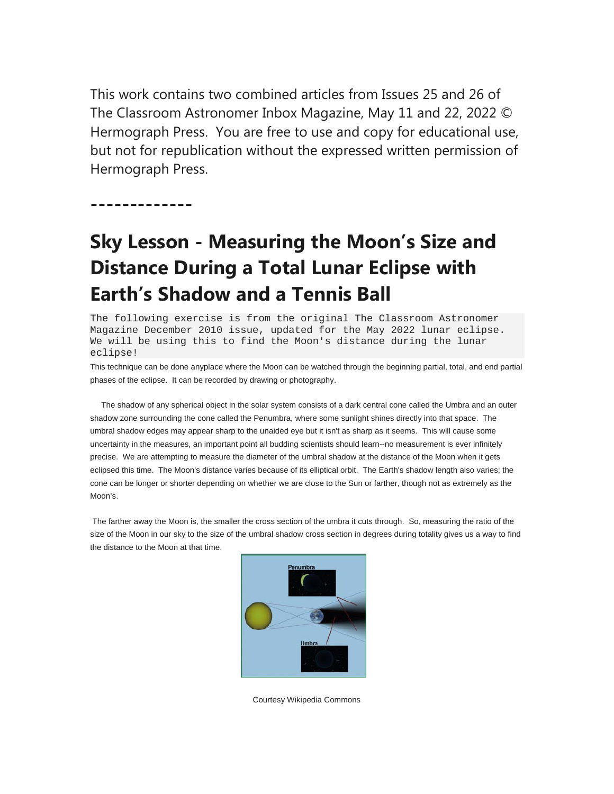This work contains two combined articles from Issues 25 and 26 of The Classroom Astronomer Inbox Magazine, May 11 and 22, 2022 © Hermograph Press. You are free to use and copy for educational use, but not for republication without the expressed written permission of Hermograph Press.

**-------------** 

# **Sky Lesson - Measuring the Moon's Size and Distance During a Total Lunar Eclipse with Earth's Shadow and a Tennis Ball**

The following exercise is from the original The Classroom Astronomer Magazine December 2010 issue, updated for the May 2022 lunar eclipse. We will be using this to find the Moon's distance during the lunar eclipse!

This technique can be done anyplace where the Moon can be watched through the beginning partial, total, and end partial phases of the eclipse. It can be recorded by drawing or photography.

 The shadow of any spherical object in the solar system consists of a dark central cone called the Umbra and an outer shadow zone surrounding the cone called the Penumbra, where some sunlight shines directly into that space. The umbral shadow edges may appear sharp to the unaided eye but it isn't as sharp as it seems. This will cause some uncertainty in the measures, an important point all budding scientists should learn--no measurement is ever infinitely precise. We are attempting to measure the diameter of the umbral shadow at the distance of the Moon when it gets eclipsed this time. The Moon's distance varies because of its elliptical orbit. The Earth's shadow length also varies; the cone can be longer or shorter depending on whether we are close to the Sun or farther, though not as extremely as the Moon's.

 The farther away the Moon is, the smaller the cross section of the umbra it cuts through. So, measuring the ratio of the size of the Moon in our sky to the size of the umbral shadow cross section in degrees during totality gives us a way to find the distance to the Moon at that time.



Courtesy Wikipedia Commons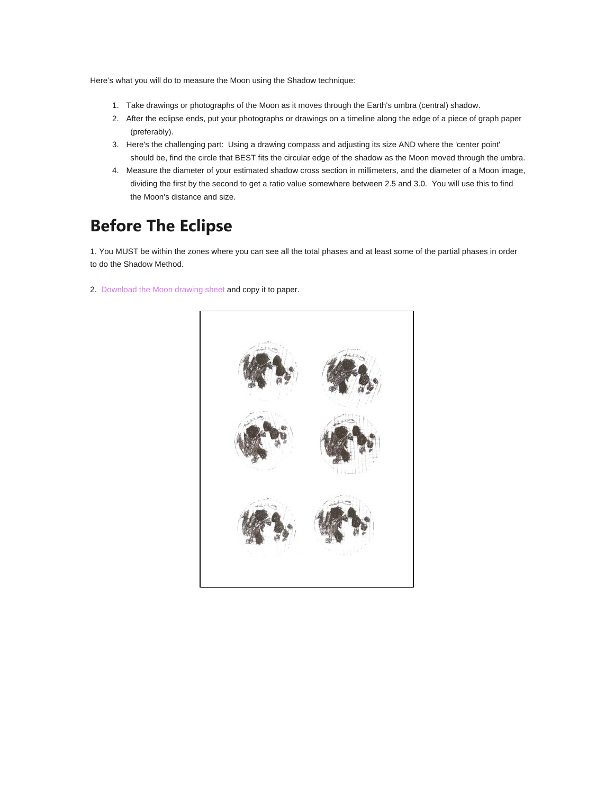Here's what you will do to measure the Moon using the Shadow technique:

- 1. Take drawings or photographs of the Moon as it moves through the Earth's umbra (central) shadow.
- 2. After the eclipse ends, put your photographs or drawings on a timeline along the edge of a piece of graph paper (preferably).
- 3. Here's the challenging part: Using a drawing compass and adjusting its size AND where the 'center point' should be, find the circle that BEST fits the circular edge of the shadow as the Moon moved through the umbra.
- 4. Measure the diameter of your estimated shadow cross section in millimeters, and the diameter of a Moon image, dividing the first by the second to get a ratio value somewhere between 2.5 and 3.0. You will use this to find the Moon's distance and size.

## **Before The Eclipse**

1. You MUST be within the zones where you can see all the total phases and at least some of the partial phases in order to do the Shadow Method.

2. Download the Moon drawing sheet and copy it to paper.

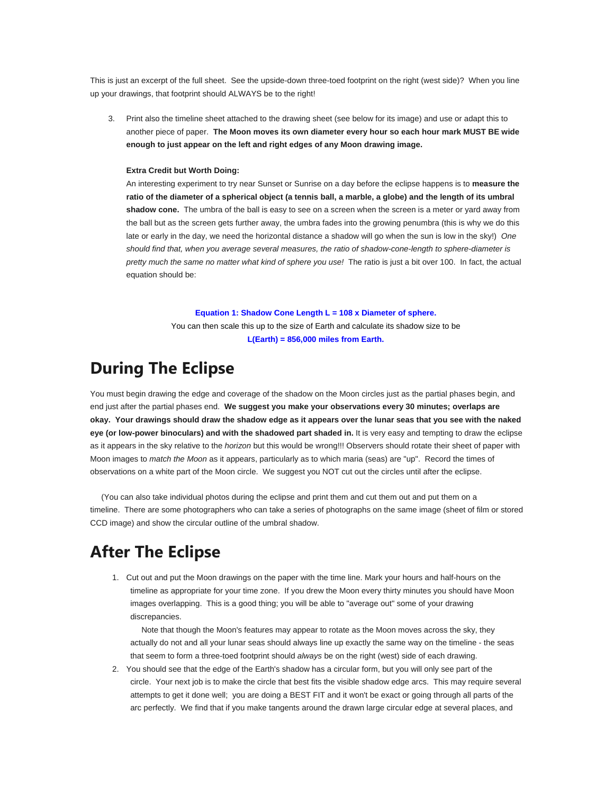This is just an excerpt of the full sheet. See the upside-down three-toed footprint on the right (west side)? When you line up your drawings, that footprint should ALWAYS be to the right!

3. Print also the timeline sheet attached to the drawing sheet (see below for its image) and use or adapt this to another piece of paper. **The Moon moves its own diameter every hour so each hour mark MUST BE wide enough to just appear on the left and right edges of any Moon drawing image.**

#### **Extra Credit but Worth Doing:**

An interesting experiment to try near Sunset or Sunrise on a day before the eclipse happens is to **measure the ratio of the diameter of a spherical object (a tennis ball, a marble, a globe) and the length of its umbral shadow cone.** The umbra of the ball is easy to see on a screen when the screen is a meter or yard away from the ball but as the screen gets further away, the umbra fades into the growing penumbra (this is why we do this late or early in the day, we need the horizontal distance a shadow will go when the sun is low in the sky!) *One should find that, when you average several measures, the ratio of shadow-cone-length to sphere-diameter is pretty much the same no matter what kind of sphere you use!* The ratio is just a bit over 100. In fact, the actual equation should be:

#### **Equation 1: Shadow Cone Length L = 108 x Diameter of sphere.** You can then scale this up to the size of Earth and calculate its shadow size to be **L(Earth) = 856,000 miles from Earth.**

### **During The Eclipse**

You must begin drawing the edge and coverage of the shadow on the Moon circles just as the partial phases begin, and end just after the partial phases end. **We suggest you make your observations every 30 minutes; overlaps are okay. Your drawings should draw the shadow edge as it appears over the lunar seas that you see with the naked eye (or low-power binoculars) and with the shadowed part shaded in.** It is very easy and tempting to draw the eclipse as it appears in the sky relative to the *horizon* but this would be wrong!!! Observers should rotate their sheet of paper with Moon images to *match the Moon* as it appears, particularly as to which maria (seas) are "up". Record the times of observations on a white part of the Moon circle. We suggest you NOT cut out the circles until after the eclipse.

 (You can also take individual photos during the eclipse and print them and cut them out and put them on a timeline. There are some photographers who can take a series of photographs on the same image (sheet of film or stored CCD image) and show the circular outline of the umbral shadow.

### **After The Eclipse**

1. Cut out and put the Moon drawings on the paper with the time line. Mark your hours and half-hours on the timeline as appropriate for your time zone. If you drew the Moon every thirty minutes you should have Moon images overlapping. This is a good thing; you will be able to "average out" some of your drawing discrepancies.

 Note that though the Moon's features may appear to rotate as the Moon moves across the sky, they actually do not and all your lunar seas should always line up exactly the same way on the timeline - the seas that seem to form a three-toed footprint should *always* be on the right (west) side of each drawing.

2. You should see that the edge of the Earth's shadow has a circular form, but you will only see part of the circle. Your next job is to make the circle that best fits the visible shadow edge arcs. This may require several attempts to get it done well; you are doing a BEST FIT and it won't be exact or going through all parts of the arc perfectly. We find that if you make tangents around the drawn large circular edge at several places, and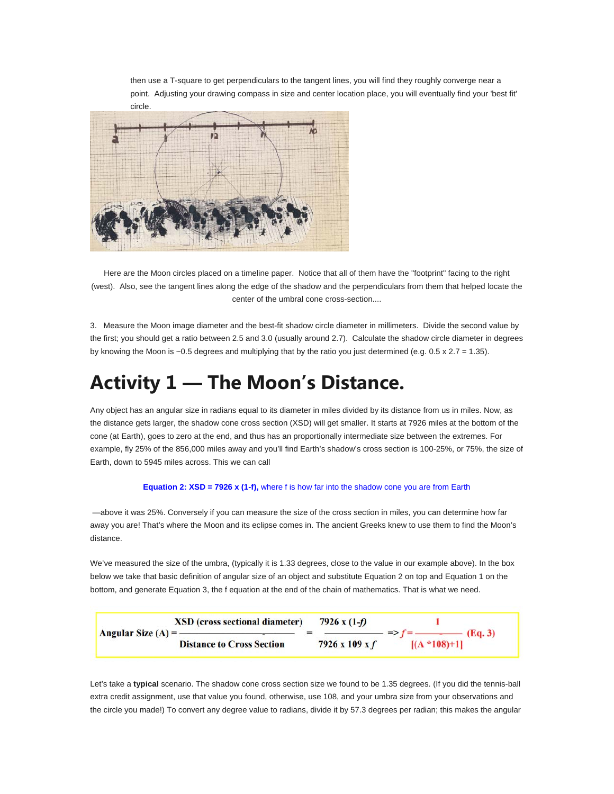then use a T-square to get perpendiculars to the tangent lines, you will find they roughly converge near a point. Adjusting your drawing compass in size and center location place, you will eventually find your 'best fit'



Here are the Moon circles placed on a timeline paper. Notice that all of them have the "footprint" facing to the right (west). Also, see the tangent lines along the edge of the shadow and the perpendiculars from them that helped locate the center of the umbral cone cross-section....

3. Measure the Moon image diameter and the best-fit shadow circle diameter in millimeters. Divide the second value by the first; you should get a ratio between 2.5 and 3.0 (usually around 2.7). Calculate the shadow circle diameter in degrees by knowing the Moon is  $\sim$  0.5 degrees and multiplying that by the ratio you just determined (e.g. 0.5 x 2.7 = 1.35).

## **Activity 1 — The Moon's Distance.**

Any object has an angular size in radians equal to its diameter in miles divided by its distance from us in miles. Now, as the distance gets larger, the shadow cone cross section (XSD) will get smaller. It starts at 7926 miles at the bottom of the cone (at Earth), goes to zero at the end, and thus has an proportionally intermediate size between the extremes. For example, fly 25% of the 856,000 miles away and you'll find Earth's shadow's cross section is 100-25%, or 75%, the size of Earth, down to 5945 miles across. This we can call

#### **Equation 2: XSD = 7926 x (1-f),** where f is how far into the shadow cone you are from Earth

 —above it was 25%. Conversely if you can measure the size of the cross section in miles, you can determine how far away you are! That's where the Moon and its eclipse comes in. The ancient Greeks knew to use them to find the Moon's distance.

We've measured the size of the umbra, (typically it is 1.33 degrees, close to the value in our example above). In the box below we take that basic definition of angular size of an object and substitute Equation 2 on top and Equation 1 on the bottom, and generate Equation 3, the f equation at the end of the chain of mathematics. That is what we need.

| <b>XSD</b> (cross sectional diameter)<br>Angular Size $(A) =$ ——<br><b>Distance to Cross Section</b> | 7926 x $(1-f)$             |                           |
|------------------------------------------------------------------------------------------------------|----------------------------|---------------------------|
|                                                                                                      | $7926 \times 109 \times f$ | (Eq.3)<br>$[(A * 108)+1]$ |

Let's take a **typical** scenario. The shadow cone cross section size we found to be 1.35 degrees. (If you did the tennis-ball extra credit assignment, use that value you found, otherwise, use 108, and your umbra size from your observations and the circle you made!) To convert any degree value to radians, divide it by 57.3 degrees per radian; this makes the angular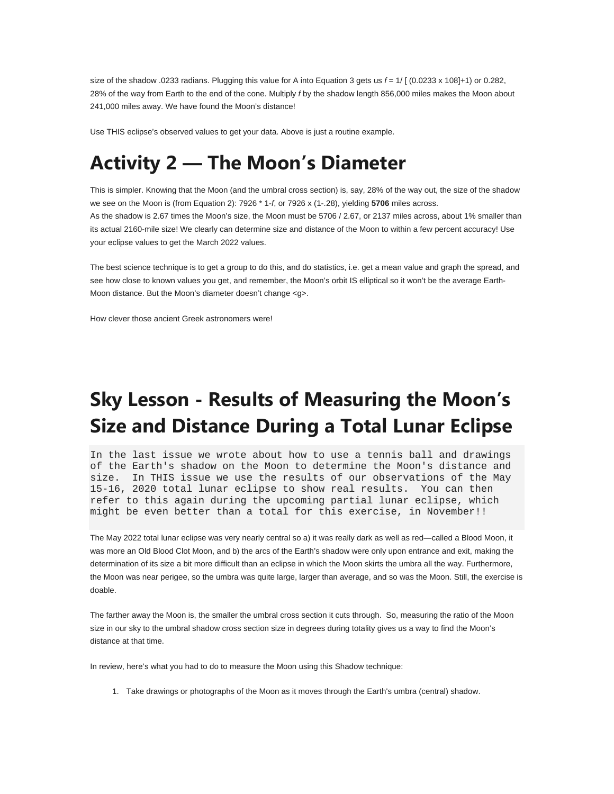size of the shadow .0233 radians. Plugging this value for A into Equation 3 gets us *f* = 1/ [ (0.0233 x 108]+1) or 0.282, 28% of the way from Earth to the end of the cone. Multiply *f* by the shadow length 856,000 miles makes the Moon about 241,000 miles away. We have found the Moon's distance!

Use THIS eclipse's observed values to get your data. Above is just a routine example.

# **Activity 2 — The Moon's Diameter**

This is simpler. Knowing that the Moon (and the umbral cross section) is, say, 28% of the way out, the size of the shadow we see on the Moon is (from Equation 2): 7926 \* 1-*f*, or 7926 x (1-.28), yielding **5706** miles across. As the shadow is 2.67 times the Moon's size, the Moon must be 5706 / 2.67, or 2137 miles across, about 1% smaller than its actual 2160-mile size! We clearly can determine size and distance of the Moon to within a few percent accuracy! Use your eclipse values to get the March 2022 values.

The best science technique is to get a group to do this, and do statistics, i.e. get a mean value and graph the spread, and see how close to known values you get, and remember, the Moon's orbit IS elliptical so it won't be the average Earth-Moon distance. But the Moon's diameter doesn't change <g>.

How clever those ancient Greek astronomers were!

# **Sky Lesson - Results of Measuring the Moon's Size and Distance During a Total Lunar Eclipse**

In the last issue we wrote about how to use a tennis ball and drawings of the Earth's shadow on the Moon to determine the Moon's distance and size. In THIS issue we use the results of our observations of the May 15-16, 2020 total lunar eclipse to show real results. You can then refer to this again during the upcoming partial lunar eclipse, which might be even better than a total for this exercise, in November!!

The May 2022 total lunar eclipse was very nearly central so a) it was really dark as well as red—called a Blood Moon, it was more an Old Blood Clot Moon, and b) the arcs of the Earth's shadow were only upon entrance and exit, making the determination of its size a bit more difficult than an eclipse in which the Moon skirts the umbra all the way. Furthermore, the Moon was near perigee, so the umbra was quite large, larger than average, and so was the Moon. Still, the exercise is doable.

The farther away the Moon is, the smaller the umbral cross section it cuts through. So, measuring the ratio of the Moon size in our sky to the umbral shadow cross section size in degrees during totality gives us a way to find the Moon's distance at that time.

In review, here's what you had to do to measure the Moon using this Shadow technique:

1. Take drawings or photographs of the Moon as it moves through the Earth's umbra (central) shadow.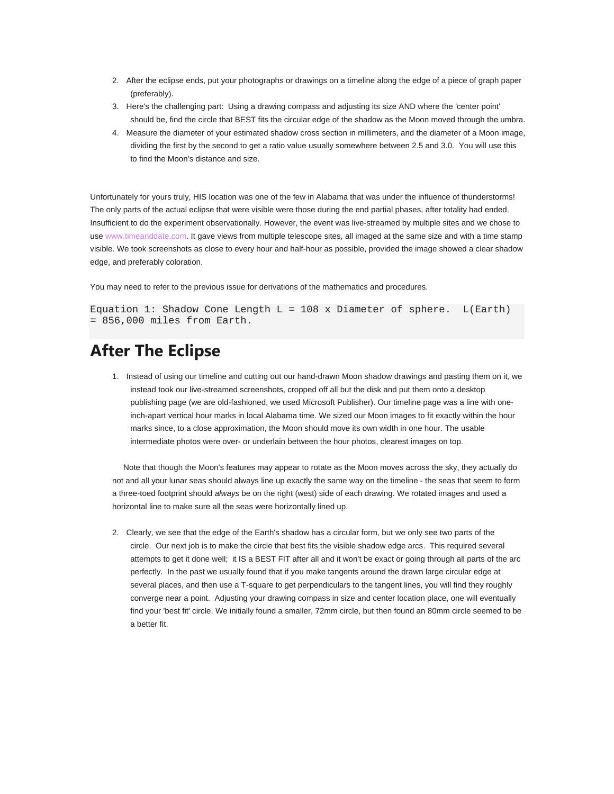- 2. After the eclipse ends, put your photographs or drawings on a timeline along the edge of a piece of graph paper (preferably).
- 3. Here's the challenging part: Using a drawing compass and adjusting its size AND where the 'center point' should be, find the circle that BEST fits the circular edge of the shadow as the Moon moved through the umbra.
- 4. Measure the diameter of your estimated shadow cross section in millimeters, and the diameter of a Moon image, dividing the first by the second to get a ratio value usually somewhere between 2.5 and 3.0. You will use this to find the Moon's distance and size.

Unfortunately for yours truly, HIS location was one of the few in Alabama that was under the influence of thunderstorms! The only parts of the actual eclipse that were visible were those during the end partial phases, after totality had ended. Insufficient to do the experiment observationally. However, the event was live-streamed by multiple sites and we chose to use www.timeanddate.com. It gave views from multiple telescope sites, all imaged at the same size and with a time stamp visible. We took screenshots as close to every hour and half-hour as possible, provided the image showed a clear shadow edge, and preferably coloration.

You may need to refer to the previous issue for derivations of the mathematics and procedures.

```
Equation 1: Shadow Cone Length L = 108 x Diameter of sphere. L(Earth)= 856,000 miles from Earth.
```
### **After The Eclipse**

1. Instead of using our timeline and cutting out our hand-drawn Moon shadow drawings and pasting them on it, we instead took our live-streamed screenshots, cropped off all but the disk and put them onto a desktop publishing page (we are old-fashioned, we used Microsoft Publisher). Our timeline page was a line with oneinch-apart vertical hour marks in local Alabama time. We sized our Moon images to fit exactly within the hour marks since, to a close approximation, the Moon should move its own width in one hour. The usable intermediate photos were over- or underlain between the hour photos, clearest images on top.

 Note that though the Moon's features may appear to rotate as the Moon moves across the sky, they actually do not and all your lunar seas should always line up exactly the same way on the timeline - the seas that seem to form a three-toed footprint should *always* be on the right (west) side of each drawing. We rotated images and used a horizontal line to make sure all the seas were horizontally lined up.

2. Clearly, we see that the edge of the Earth's shadow has a circular form, but we only see two parts of the circle. Our next job is to make the circle that best fits the visible shadow edge arcs. This required several attempts to get it done well; it IS a BEST FIT after all and it won't be exact or going through all parts of the arc perfectly. In the past we usually found that if you make tangents around the drawn large circular edge at several places, and then use a T-square to get perpendiculars to the tangent lines, you will find they roughly converge near a point. Adjusting your drawing compass in size and center location place, one will eventually find your 'best fit' circle. We initially found a smaller, 72mm circle, but then found an 80mm circle seemed to be a better fit.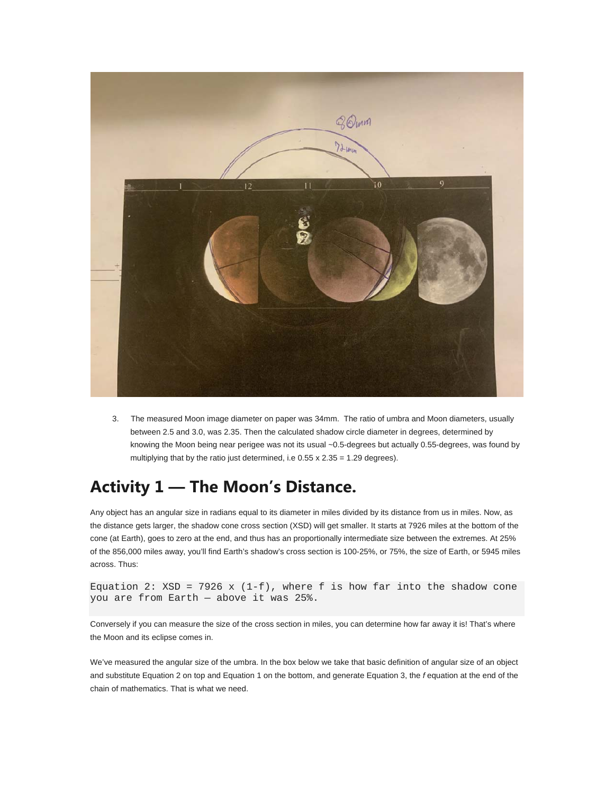

3. The measured Moon image diameter on paper was 34mm. The ratio of umbra and Moon diameters, usually between 2.5 and 3.0, was 2.35. Then the calculated shadow circle diameter in degrees, determined by knowing the Moon being near perigee was not its usual ~0.5-degrees but actually 0.55-degrees, was found by multiplying that by the ratio just determined, i.e  $0.55 \times 2.35 = 1.29$  degrees).

## **Activity 1 — The Moon's Distance.**

Any object has an angular size in radians equal to its diameter in miles divided by its distance from us in miles. Now, as the distance gets larger, the shadow cone cross section (XSD) will get smaller. It starts at 7926 miles at the bottom of the cone (at Earth), goes to zero at the end, and thus has an proportionally intermediate size between the extremes. At 25% of the 856,000 miles away, you'll find Earth's shadow's cross section is 100-25%, or 75%, the size of Earth, or 5945 miles across. Thus:

```
Equation 2: XSD = 7926 x (1-f), where f is how far into the shadow cone
you are from Earth — above it was 25%.
```
Conversely if you can measure the size of the cross section in miles, you can determine how far away it is! That's where the Moon and its eclipse comes in.

We've measured the angular size of the umbra. In the box below we take that basic definition of angular size of an object and substitute Equation 2 on top and Equation 1 on the bottom, and generate Equation 3, the *f* equation at the end of the chain of mathematics. That is what we need.